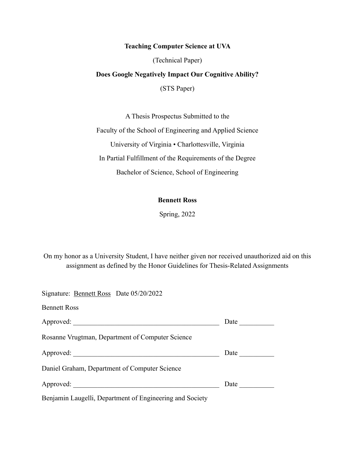# **Teaching Computer Science at UVA**

(Technical Paper)

# **Does Google Negatively Impact Our Cognitive Ability?**

(STS Paper)

A Thesis Prospectus Submitted to the

Faculty of the School of Engineering and Applied Science University of Virginia • Charlottesville, Virginia In Partial Fulfillment of the Requirements of the Degree

Bachelor of Science, School of Engineering

# **Bennett Ross**

Spring, 2022

On my honor as a University Student, I have neither given nor received unauthorized aid on this assignment as defined by the Honor Guidelines for Thesis-Related Assignments

| Signature: Bennett Ross Date 05/20/2022                                                                                                                                                                                        |      |
|--------------------------------------------------------------------------------------------------------------------------------------------------------------------------------------------------------------------------------|------|
| <b>Bennett Ross</b>                                                                                                                                                                                                            |      |
|                                                                                                                                                                                                                                | Date |
| Rosanne Vrugtman, Department of Computer Science                                                                                                                                                                               |      |
|                                                                                                                                                                                                                                | Date |
| Daniel Graham, Department of Computer Science                                                                                                                                                                                  |      |
| Approved: New York Changes and Separate Separate Separate Separate Separate Separate Separate Separate Separate Separate Separate Separate Separate Separate Separate Separate Separate Separate Separate Separate Separate Se | Date |
| Benjamin Laugelli, Department of Engineering and Society                                                                                                                                                                       |      |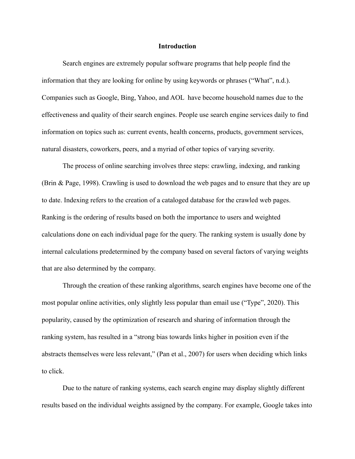#### **Introduction**

Search engines are extremely popular software programs that help people find the information that they are looking for online by using keywords or phrases ("What", n.d.). Companies such as Google, Bing, Yahoo, and AOL have become household names due to the effectiveness and quality of their search engines. People use search engine services daily to find information on topics such as: current events, health concerns, products, government services, natural disasters, coworkers, peers, and a myriad of other topics of varying severity.

The process of online searching involves three steps: crawling, indexing, and ranking (Brin & Page, 1998). Crawling is used to download the web pages and to ensure that they are up to date. Indexing refers to the creation of a cataloged database for the crawled web pages. Ranking is the ordering of results based on both the importance to users and weighted calculations done on each individual page for the query. The ranking system is usually done by internal calculations predetermined by the company based on several factors of varying weights that are also determined by the company.

Through the creation of these ranking algorithms, search engines have become one of the most popular online activities, only slightly less popular than email use ("Type", 2020). This popularity, caused by the optimization of research and sharing of information through the ranking system, has resulted in a "strong bias towards links higher in position even if the abstracts themselves were less relevant," (Pan et al., 2007) for users when deciding which links to click.

Due to the nature of ranking systems, each search engine may display slightly different results based on the individual weights assigned by the company. For example, Google takes into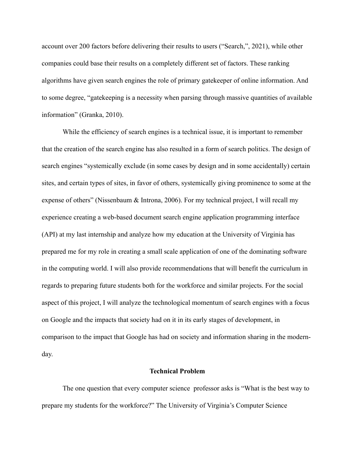account over 200 factors before delivering their results to users ("Search,", 2021), while other companies could base their results on a completely different set of factors. These ranking algorithms have given search engines the role of primary gatekeeper of online information. And to some degree, "gatekeeping is a necessity when parsing through massive quantities of available information" (Granka, 2010).

While the efficiency of search engines is a technical issue, it is important to remember that the creation of the search engine has also resulted in a form of search politics. The design of search engines "systemically exclude (in some cases by design and in some accidentally) certain sites, and certain types of sites, in favor of others, systemically giving prominence to some at the expense of others" (Nissenbaum & Introna, 2006). For my technical project, I will recall my experience creating a web-based document search engine application programming interface (API) at my last internship and analyze how my education at the University of Virginia has prepared me for my role in creating a small scale application of one of the dominating software in the computing world. I will also provide recommendations that will benefit the curriculum in regards to preparing future students both for the workforce and similar projects. For the social aspect of this project, I will analyze the technological momentum of search engines with a focus on Google and the impacts that society had on it in its early stages of development, in comparison to the impact that Google has had on society and information sharing in the modernday.

## **Technical Problem**

The one question that every computer science professor asks is "What is the best way to prepare my students for the workforce?" The University of Virginia's Computer Science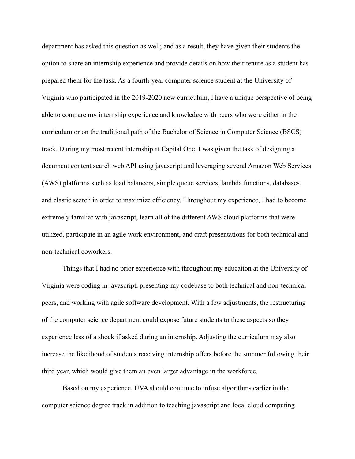department has asked this question as well; and as a result, they have given their students the option to share an internship experience and provide details on how their tenure as a student has prepared them for the task. As a fourth-year computer science student at the University of Virginia who participated in the 2019-2020 new curriculum, I have a unique perspective of being able to compare my internship experience and knowledge with peers who were either in the curriculum or on the traditional path of the Bachelor of Science in Computer Science (BSCS) track. During my most recent internship at Capital One, I was given the task of designing a document content search web API using javascript and leveraging several Amazon Web Services (AWS) platforms such as load balancers, simple queue services, lambda functions, databases, and elastic search in order to maximize efficiency. Throughout my experience, I had to become extremely familiar with javascript, learn all of the different AWS cloud platforms that were utilized, participate in an agile work environment, and craft presentations for both technical and non-technical coworkers.

Things that I had no prior experience with throughout my education at the University of Virginia were coding in javascript, presenting my codebase to both technical and non-technical peers, and working with agile software development. With a few adjustments, the restructuring of the computer science department could expose future students to these aspects so they experience less of a shock if asked during an internship. Adjusting the curriculum may also increase the likelihood of students receiving internship offers before the summer following their third year, which would give them an even larger advantage in the workforce.

Based on my experience, UVA should continue to infuse algorithms earlier in the computer science degree track in addition to teaching javascript and local cloud computing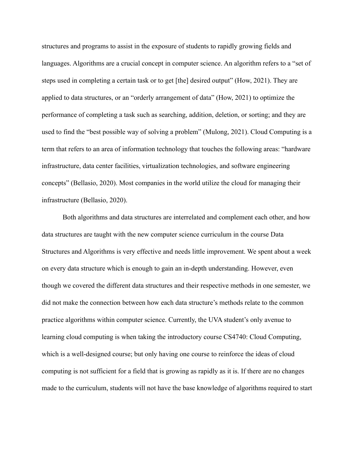structures and programs to assist in the exposure of students to rapidly growing fields and languages. Algorithms are a crucial concept in computer science. An algorithm refers to a "set of steps used in completing a certain task or to get [the] desired output" (How, 2021). They are applied to data structures, or an "orderly arrangement of data" (How, 2021) to optimize the performance of completing a task such as searching, addition, deletion, or sorting; and they are used to find the "best possible way of solving a problem" (Mulong, 2021). Cloud Computing is a term that refers to an area of information technology that touches the following areas: "hardware infrastructure, data center facilities, virtualization technologies, and software engineering concepts" (Bellasio, 2020). Most companies in the world utilize the cloud for managing their infrastructure (Bellasio, 2020).

Both algorithms and data structures are interrelated and complement each other, and how data structures are taught with the new computer science curriculum in the course Data Structures and Algorithms is very effective and needs little improvement. We spent about a week on every data structure which is enough to gain an in-depth understanding. However, even though we covered the different data structures and their respective methods in one semester, we did not make the connection between how each data structure's methods relate to the common practice algorithms within computer science. Currently, the UVA student's only avenue to learning cloud computing is when taking the introductory course CS4740: Cloud Computing, which is a well-designed course; but only having one course to reinforce the ideas of cloud computing is not sufficient for a field that is growing as rapidly as it is. If there are no changes made to the curriculum, students will not have the base knowledge of algorithms required to start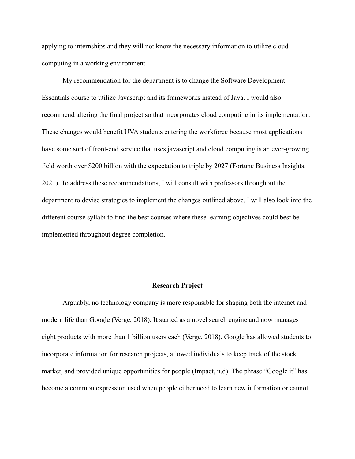applying to internships and they will not know the necessary information to utilize cloud computing in a working environment.

My recommendation for the department is to change the Software Development Essentials course to utilize Javascript and its frameworks instead of Java. I would also recommend altering the final project so that incorporates cloud computing in its implementation. These changes would benefit UVA students entering the workforce because most applications have some sort of front-end service that uses javascript and cloud computing is an ever-growing field worth over \$200 billion with the expectation to triple by 2027 (Fortune Business Insights, 2021). To address these recommendations, I will consult with professors throughout the department to devise strategies to implement the changes outlined above. I will also look into the different course syllabi to find the best courses where these learning objectives could best be implemented throughout degree completion.

#### **Research Project**

Arguably, no technology company is more responsible for shaping both the internet and modern life than Google (Verge, 2018). It started as a novel search engine and now manages eight products with more than 1 billion users each (Verge, 2018). Google has allowed students to incorporate information for research projects, allowed individuals to keep track of the stock market, and provided unique opportunities for people (Impact, n.d). The phrase "Google it" has become a common expression used when people either need to learn new information or cannot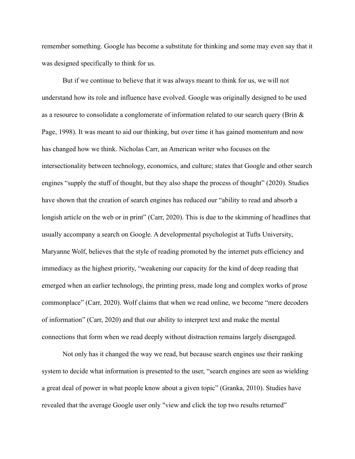remember something. Google has become a substitute for thinking and some may even say that it was designed specifically to think for us.

But if we continue to believe that it was always meant to think for us, we will not understand how its role and influence have evolved. Google was originally designed to be used as a resource to consolidate a conglomerate of information related to our search query (Brin & Page, 1998). It was meant to aid our thinking, but over time it has gained momentum and now has changed how we think. Nicholas Carr, an American writer who focuses on the intersectionality between technology, economics, and culture; states that Google and other search engines "supply the stuff of thought, but they also shape the process of thought" (2020). Studies have shown that the creation of search engines has reduced our "ability to read and absorb a longish article on the web or in print" (Carr, 2020). This is due to the skimming of headlines that usually accompany a search on Google. A developmental psychologist at Tufts University, Maryanne Wolf, believes that the style of reading promoted by the internet puts efficiency and immediacy as the highest priority, "weakening our capacity for the kind of deep reading that emerged when an earlier technology, the printing press, made long and complex works of prose commonplace" (Carr, 2020). Wolf claims that when we read online, we become "mere decoders of information" (Carr, 2020) and that our ability to interpret text and make the mental connections that form when we read deeply without distraction remains largely disengaged.

Not only has it changed the way we read, but because search engines use their ranking system to decide what information is presented to the user, "search engines are seen as wielding a great deal of power in what people know about a given topic" (Granka, 2010). Studies have revealed that the average Google user only "view and click the top two results returned"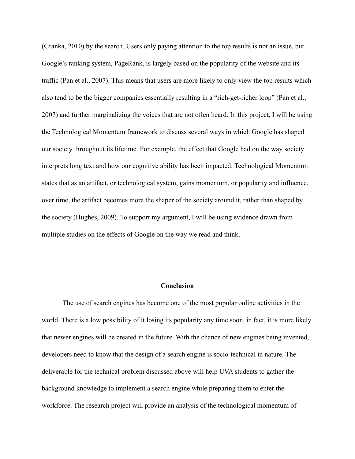(Granka, 2010) by the search. Users only paying attention to the top results is not an issue, but Google's ranking system, PageRank, is largely based on the popularity of the website and its traffic (Pan et al., 2007). This means that users are more likely to only view the top results which also tend to be the bigger companies essentially resulting in a "rich-get-richer loop" (Pan et al., 2007) and further marginalizing the voices that are not often heard. In this project, I will be using the Technological Momentum framework to discuss several ways in which Google has shaped our society throughout its lifetime. For example, the effect that Google had on the way society interprets long text and how our cognitive ability has been impacted. Technological Momentum states that as an artifact, or technological system, gains momentum, or popularity and influence, over time, the artifact becomes more the shaper of the society around it, rather than shaped by the society (Hughes, 2009). To support my argument, I will be using evidence drawn from multiple studies on the effects of Google on the way we read and think.

### **Conclusion**

The use of search engines has become one of the most popular online activities in the world. There is a low possibility of it losing its popularity any time soon, in fact, it is more likely that newer engines will be created in the future. With the chance of new engines being invented, developers need to know that the design of a search engine is socio-technical in nature. The deliverable for the technical problem discussed above will help UVA students to gather the background knowledge to implement a search engine while preparing them to enter the workforce. The research project will provide an analysis of the technological momentum of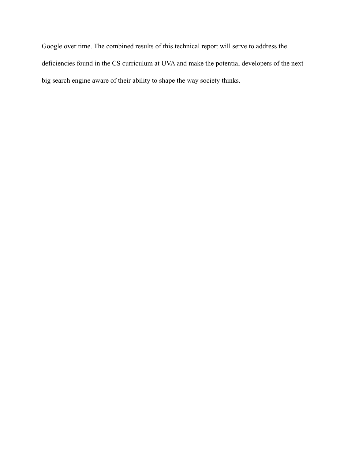Google over time. The combined results of this technical report will serve to address the deficiencies found in the CS curriculum at UVA and make the potential developers of the next big search engine aware of their ability to shape the way society thinks.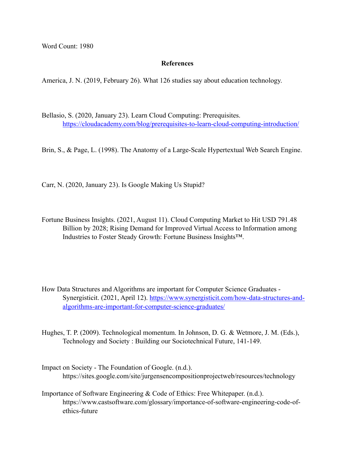Word Count: 1980

### **References**

America, J. N. (2019, February 26). What 126 studies say about education technology.

Bellasio, S. (2020, January 23). Learn Cloud Computing: Prerequisites. <https://cloudacademy.com/blog/prerequisites-to-learn-cloud-computing-introduction/>

Brin, S., & Page, L. (1998). The Anatomy of a Large-Scale Hypertextual Web Search Engine.

Carr, N. (2020, January 23). Is Google Making Us Stupid?

- Fortune Business Insights. (2021, August 11). Cloud Computing Market to Hit USD 791.48 Billion by 2028; Rising Demand for Improved Virtual Access to Information among Industries to Foster Steady Growth: Fortune Business Insights™.
- How Data Structures and Algorithms are important for Computer Science Graduates Synergisticit. (2021, April 12). [https://www.synergisticit.com/how-data-structures-and](https://www.synergisticit.com/how-data-structures-and-algorithms-are-important-for-computer-science-graduates/)[algorithms-are-important-for-computer-science-graduates/](https://www.synergisticit.com/how-data-structures-and-algorithms-are-important-for-computer-science-graduates/)

Hughes, T. P. (2009). Technological momentum. In Johnson, D. G. & Wetmore, J. M. (Eds.), Technology and Society : Building our Sociotechnical Future, 141-149.

- Impact on Society The Foundation of Google. (n.d.). https://sites.google.com/site/jurgensencompositionprojectweb/resources/technology
- Importance of Software Engineering & Code of Ethics: Free Whitepaper. (n.d.). https://www.castsoftware.com/glossary/importance-of-software-engineering-code-ofethics-future